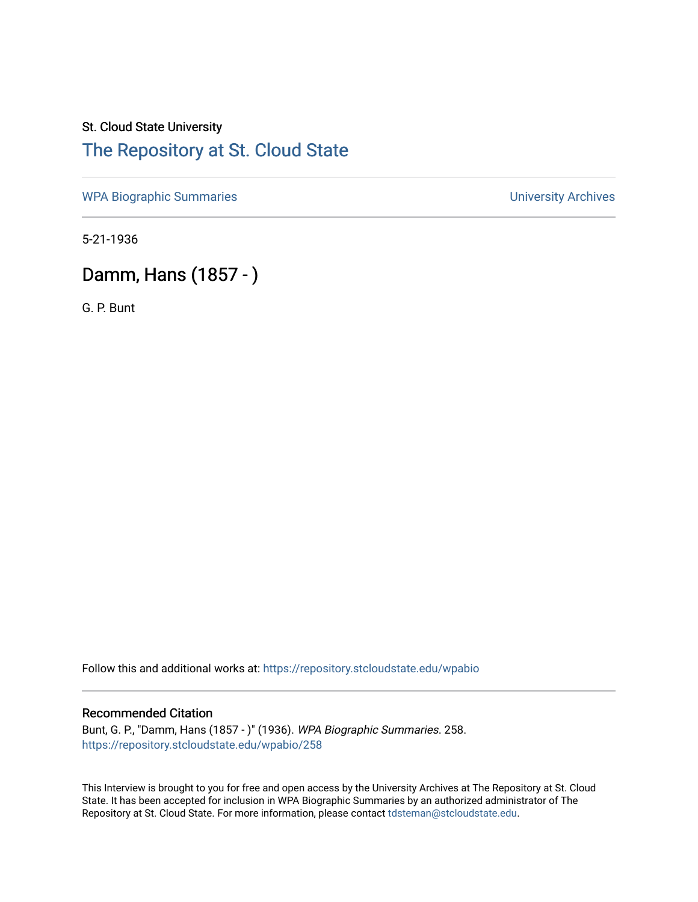## St. Cloud State University [The Repository at St. Cloud State](https://repository.stcloudstate.edu/)

[WPA Biographic Summaries](https://repository.stcloudstate.edu/wpabio) **WPA Biographic Summaries University Archives** 

5-21-1936

# Damm, Hans (1857 - )

G. P. Bunt

Follow this and additional works at: [https://repository.stcloudstate.edu/wpabio](https://repository.stcloudstate.edu/wpabio?utm_source=repository.stcloudstate.edu%2Fwpabio%2F258&utm_medium=PDF&utm_campaign=PDFCoverPages) 

#### Recommended Citation

Bunt, G. P., "Damm, Hans (1857 - )" (1936). WPA Biographic Summaries. 258. [https://repository.stcloudstate.edu/wpabio/258](https://repository.stcloudstate.edu/wpabio/258?utm_source=repository.stcloudstate.edu%2Fwpabio%2F258&utm_medium=PDF&utm_campaign=PDFCoverPages) 

This Interview is brought to you for free and open access by the University Archives at The Repository at St. Cloud State. It has been accepted for inclusion in WPA Biographic Summaries by an authorized administrator of The Repository at St. Cloud State. For more information, please contact [tdsteman@stcloudstate.edu.](mailto:tdsteman@stcloudstate.edu)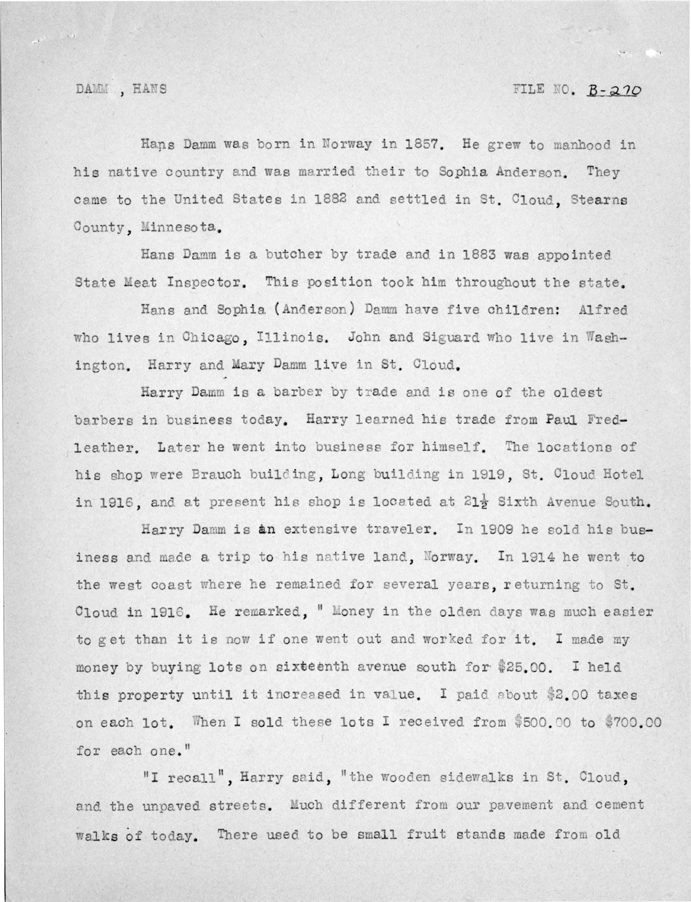#### DAMM , HANS

### FILE NO.  $B - 270$

Hans Damm was born in Norway in 1857. He grew to manhood in his native country and was married their to Sophia Anderson. They came to the United States in 1882 and settled in St. Cloud. Stearns County, Minnesota.

Hans Damm is a butcher by trade and in 1883 was appointed State Meat Inspector. This position took him throughout the state.

Hans and Sophia (Anderson) Damm have five children: Alfred who lives in Chicago, Illinois. John and Siguard who live in Washington. Harry and Mary Damm live in St. Cloud.

Harry Damm is a barber by trade and is one of the oldest barbers in business today. Harry learned his trade from Paul Fredleather. Later he went into business for himself. The locations of his shop were Brauch building, Long building in 1919, St. Cloud Hotel in 1916, and at present his shop is located at 21<sup>}</sup> Sixth Avenue South.

Harry Damm is an extensive traveler. In 1909 he sold his business and made a trip to his native land, Norway. In 1914 he went to the west coast where he remained for several years, returning to St. Cloud in 1916. He remarked, " Money in the olden days was much easier to get than it is now if one went out and worked for it. I made my money by buying lots on sixteenth avenue south for \$25.00. I held this property until it increased in value. I paid about \$2.00 taxes on each lot. When I sold these lots I received from \$500.00 to \$700.00 for each one."

"I recall", Harry said, "the wooden sidewalks in St. Cloud, and the unpaved streets. Much different from our pavement and cement walks of today. There used to be small fruit stands made from old